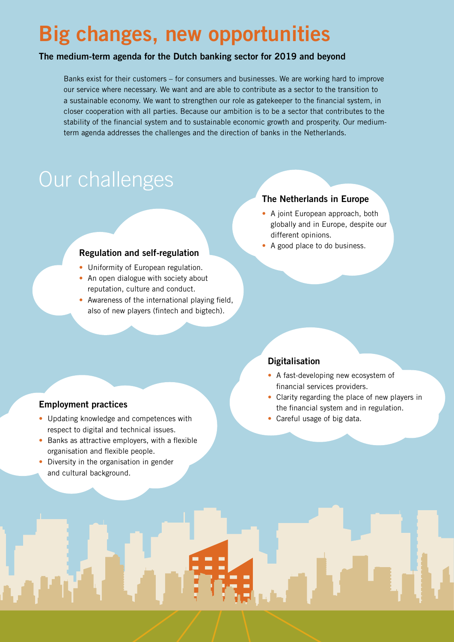# **Big changes, new opportunities**

#### **The medium-term agenda for the Dutch banking sector for 2019 and beyond**

Banks exist for their customers – for consumers and businesses. We are working hard to improve our service where necessary. We want and are able to contribute as a sector to the transition to a sustainable economy. We want to strengthen our role as gatekeeper to the financial system, in closer cooperation with all parties. Because our ambition is to be a sector that contributes to the stability of the financial system and to sustainable economic growth and prosperity. Our mediumterm agenda addresses the challenges and the direction of banks in the Netherlands.

# Our challenges

#### **Regulation and self-regulation**

- Uniformity of European regulation.
- An open dialogue with society about reputation, culture and conduct.
- Awareness of the international playing field, also of new players (fintech and bigtech).

#### **The Netherlands in Europe**

- A joint European approach, both globally and in Europe, despite our different opinions.
- A good place to do business.

### **Digitalisation**

- A fast-developing new ecosystem of financial services providers.
- Clarity regarding the place of new players in the financial system and in regulation.
- Careful usage of big data.

## **Employment practices**

- Updating knowledge and competences with respect to digital and technical issues.
- Banks as attractive employers, with a flexible organisation and flexible people.
- Diversity in the organisation in gender and cultural background.